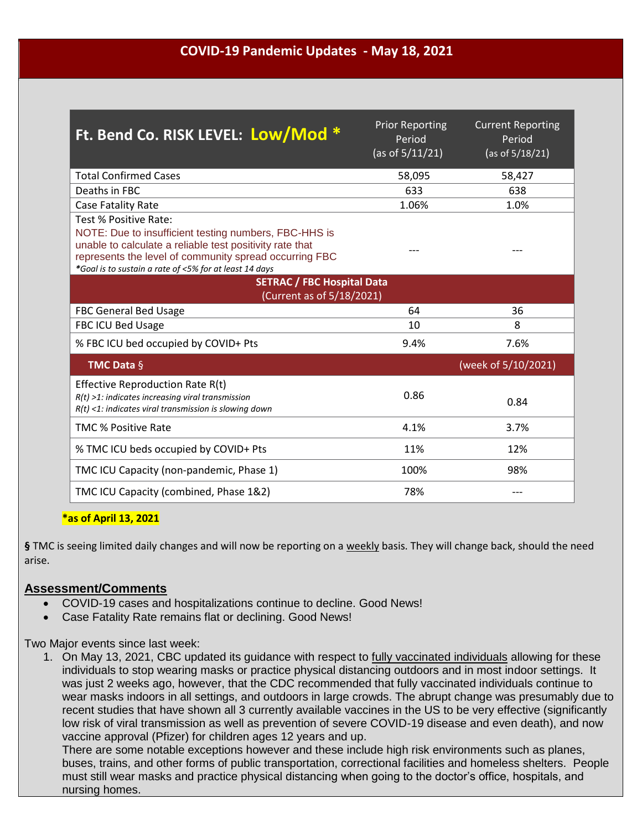## **COVID-19 Pandemic Updates - May 18, 2021**

| Ft. Bend Co. RISK LEVEL: Low/Mod *                                                                                                                                                                                                                             | <b>Prior Reporting</b><br>Period<br>(as of $5/11/21$ ) | <b>Current Reporting</b><br>Period<br>(as of 5/18/21) |
|----------------------------------------------------------------------------------------------------------------------------------------------------------------------------------------------------------------------------------------------------------------|--------------------------------------------------------|-------------------------------------------------------|
| <b>Total Confirmed Cases</b>                                                                                                                                                                                                                                   | 58,095                                                 | 58,427                                                |
| Deaths in FBC                                                                                                                                                                                                                                                  | 633                                                    | 638                                                   |
| Case Fatality Rate                                                                                                                                                                                                                                             | 1.06%                                                  | 1.0%                                                  |
| Test % Positive Rate:<br>NOTE: Due to insufficient testing numbers, FBC-HHS is<br>unable to calculate a reliable test positivity rate that<br>represents the level of community spread occurring FBC<br>*Goal is to sustain a rate of <5% for at least 14 days |                                                        |                                                       |
| <b>SETRAC / FBC Hospital Data</b><br>(Current as of 5/18/2021)                                                                                                                                                                                                 |                                                        |                                                       |
| <b>FBC General Bed Usage</b>                                                                                                                                                                                                                                   | 64                                                     | 36                                                    |
| <b>FBC ICU Bed Usage</b>                                                                                                                                                                                                                                       | 10                                                     | 8                                                     |
| % FBC ICU bed occupied by COVID+ Pts                                                                                                                                                                                                                           | 9.4%                                                   | 7.6%                                                  |
| <b>TMC Data <math>\S</math></b>                                                                                                                                                                                                                                |                                                        | (week of 5/10/2021)                                   |
| Effective Reproduction Rate R(t)<br>$R(t)$ >1: indicates increasing viral transmission<br>$R(t)$ <1: indicates viral transmission is slowing down                                                                                                              | 0.86                                                   | 0.84                                                  |
| <b>TMC % Positive Rate</b>                                                                                                                                                                                                                                     | 4.1%                                                   | 3.7%                                                  |
| % TMC ICU beds occupied by COVID+ Pts                                                                                                                                                                                                                          | 11%                                                    | 12%                                                   |
| TMC ICU Capacity (non-pandemic, Phase 1)                                                                                                                                                                                                                       | 100%                                                   | 98%                                                   |
| TMC ICU Capacity (combined, Phase 1&2)                                                                                                                                                                                                                         | 78%                                                    |                                                       |

## **\*as of April 13, 2021**

**§** TMC is seeing limited daily changes and will now be reporting on a weekly basis. They will change back, should the need arise.

## **Assessment/Comments**

- COVID-19 cases and hospitalizations continue to decline. Good News!
- Case Fatality Rate remains flat or declining. Good News!

Two Major events since last week:

1. On May 13, 2021, CBC updated its guidance with respect to fully vaccinated individuals allowing for these individuals to stop wearing masks or practice physical distancing outdoors and in most indoor settings. It was just 2 weeks ago, however, that the CDC recommended that fully vaccinated individuals continue to wear masks indoors in all settings, and outdoors in large crowds. The abrupt change was presumably due to recent studies that have shown all 3 currently available vaccines in the US to be very effective (significantly low risk of viral transmission as well as prevention of severe COVID-19 disease and even death), and now vaccine approval (Pfizer) for children ages 12 years and up.

There are some notable exceptions however and these include high risk environments such as planes, buses, trains, and other forms of public transportation, correctional facilities and homeless shelters. People must still wear masks and practice physical distancing when going to the doctor's office, hospitals, and nursing homes.